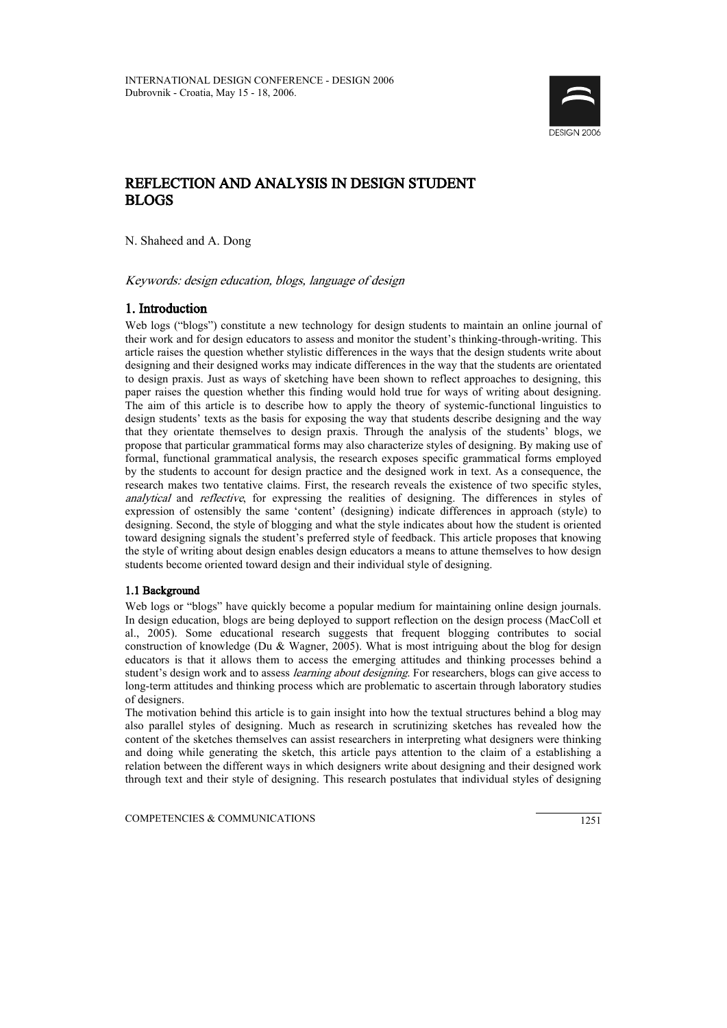

# REFLECTION AND ANALYSIS IN DESIGN STUDENT BLOGS

N. Shaheed and A. Dong

Keywords: design education, blogs, language of design

## 1. Introduction

Web logs ("blogs") constitute a new technology for design students to maintain an online journal of their work and for design educators to assess and monitor the student's thinking-through-writing. This article raises the question whether stylistic differences in the ways that the design students write about designing and their designed works may indicate differences in the way that the students are orientated to design praxis. Just as ways of sketching have been shown to reflect approaches to designing, this paper raises the question whether this finding would hold true for ways of writing about designing. The aim of this article is to describe how to apply the theory of systemic-functional linguistics to design students' texts as the basis for exposing the way that students describe designing and the way that they orientate themselves to design praxis. Through the analysis of the students' blogs, we propose that particular grammatical forms may also characterize styles of designing. By making use of formal, functional grammatical analysis, the research exposes specific grammatical forms employed by the students to account for design practice and the designed work in text. As a consequence, the research makes two tentative claims. First, the research reveals the existence of two specific styles, analytical and reflective, for expressing the realities of designing. The differences in styles of expression of ostensibly the same 'content' (designing) indicate differences in approach (style) to designing. Second, the style of blogging and what the style indicates about how the student is oriented toward designing signals the student's preferred style of feedback. This article proposes that knowing the style of writing about design enables design educators a means to attune themselves to how design students become oriented toward design and their individual style of designing.

### 1.1 Background

Web logs or "blogs" have quickly become a popular medium for maintaining online design journals. In design education, blogs are being deployed to support reflection on the design process (MacColl et al., 2005). Some educational research suggests that frequent blogging contributes to social construction of knowledge (Du & Wagner, 2005). What is most intriguing about the blog for design educators is that it allows them to access the emerging attitudes and thinking processes behind a student's design work and to assess *learning about designing*. For researchers, blogs can give access to long-term attitudes and thinking process which are problematic to ascertain through laboratory studies of designers.

The motivation behind this article is to gain insight into how the textual structures behind a blog may also parallel styles of designing. Much as research in scrutinizing sketches has revealed how the content of the sketches themselves can assist researchers in interpreting what designers were thinking and doing while generating the sketch, this article pays attention to the claim of a establishing a relation between the different ways in which designers write about designing and their designed work through text and their style of designing. This research postulates that individual styles of designing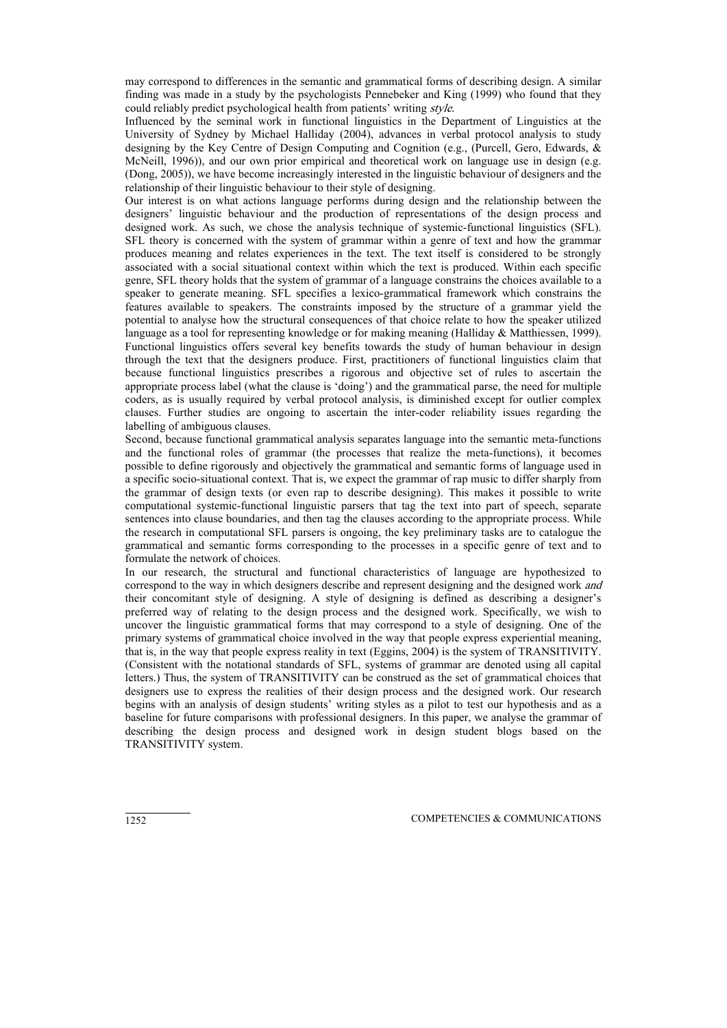may correspond to differences in the semantic and grammatical forms of describing design. A similar finding was made in a study by the psychologists Pennebeker and King (1999) who found that they could reliably predict psychological health from patients' writing style.

Influenced by the seminal work in functional linguistics in the Department of Linguistics at the University of Sydney by Michael Halliday (2004), advances in verbal protocol analysis to study designing by the Key Centre of Design Computing and Cognition (e.g., (Purcell, Gero, Edwards, & McNeill, 1996)), and our own prior empirical and theoretical work on language use in design (e.g. (Dong, 2005)), we have become increasingly interested in the linguistic behaviour of designers and the relationship of their linguistic behaviour to their style of designing.

Our interest is on what actions language performs during design and the relationship between the designers' linguistic behaviour and the production of representations of the design process and designed work. As such, we chose the analysis technique of systemic-functional linguistics (SFL). SFL theory is concerned with the system of grammar within a genre of text and how the grammar produces meaning and relates experiences in the text. The text itself is considered to be strongly associated with a social situational context within which the text is produced. Within each specific genre, SFL theory holds that the system of grammar of a language constrains the choices available to a speaker to generate meaning. SFL specifies a lexico-grammatical framework which constrains the features available to speakers. The constraints imposed by the structure of a grammar yield the potential to analyse how the structural consequences of that choice relate to how the speaker utilized language as a tool for representing knowledge or for making meaning (Halliday & Matthiessen, 1999). Functional linguistics offers several key benefits towards the study of human behaviour in design through the text that the designers produce. First, practitioners of functional linguistics claim that because functional linguistics prescribes a rigorous and objective set of rules to ascertain the appropriate process label (what the clause is 'doing') and the grammatical parse, the need for multiple coders, as is usually required by verbal protocol analysis, is diminished except for outlier complex clauses. Further studies are ongoing to ascertain the inter-coder reliability issues regarding the labelling of ambiguous clauses.

Second, because functional grammatical analysis separates language into the semantic meta-functions and the functional roles of grammar (the processes that realize the meta-functions), it becomes possible to define rigorously and objectively the grammatical and semantic forms of language used in a specific socio-situational context. That is, we expect the grammar of rap music to differ sharply from the grammar of design texts (or even rap to describe designing). This makes it possible to write computational systemic-functional linguistic parsers that tag the text into part of speech, separate sentences into clause boundaries, and then tag the clauses according to the appropriate process. While the research in computational SFL parsers is ongoing, the key preliminary tasks are to catalogue the grammatical and semantic forms corresponding to the processes in a specific genre of text and to formulate the network of choices.

In our research, the structural and functional characteristics of language are hypothesized to correspond to the way in which designers describe and represent designing and the designed work *and* their concomitant style of designing. A style of designing is defined as describing a designer's preferred way of relating to the design process and the designed work. Specifically, we wish to uncover the linguistic grammatical forms that may correspond to a style of designing. One of the primary systems of grammatical choice involved in the way that people express experiential meaning, that is, in the way that people express reality in text (Eggins, 2004) is the system of TRANSITIVITY. (Consistent with the notational standards of SFL, systems of grammar are denoted using all capital letters.) Thus, the system of TRANSITIVITY can be construed as the set of grammatical choices that designers use to express the realities of their design process and the designed work. Our research begins with an analysis of design students' writing styles as a pilot to test our hypothesis and as a baseline for future comparisons with professional designers. In this paper, we analyse the grammar of describing the design process and designed work in design student blogs based on the TRANSITIVITY system.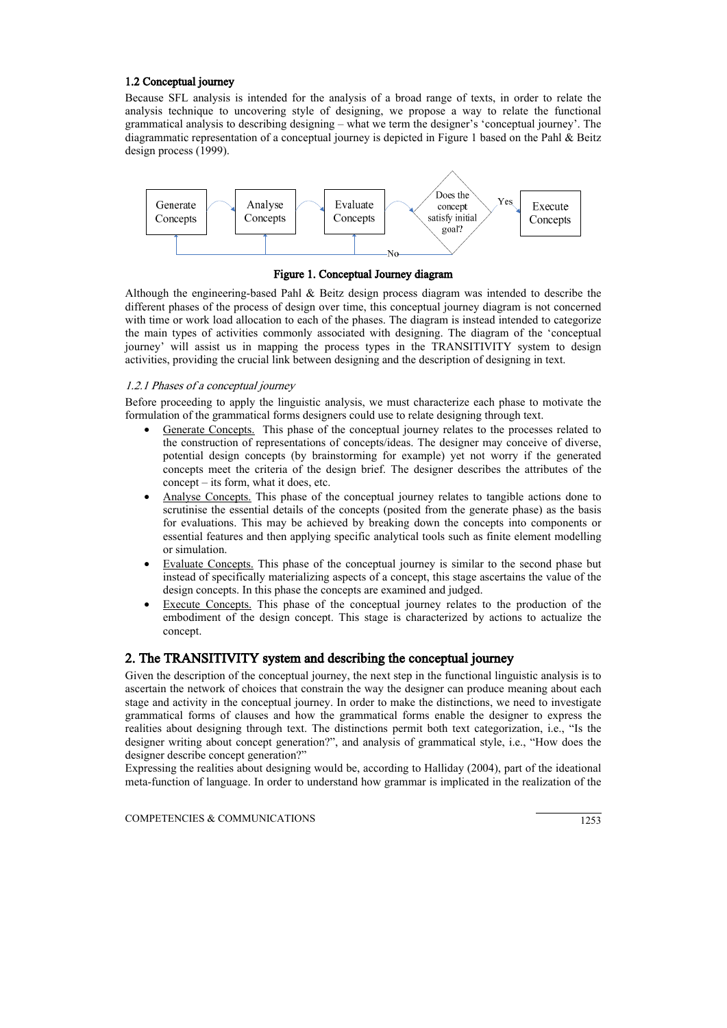### 1.2 Conceptual journey

Because SFL analysis is intended for the analysis of a broad range of texts, in order to relate the analysis technique to uncovering style of designing, we propose a way to relate the functional grammatical analysis to describing designing – what we term the designer's 'conceptual journey'. The diagrammatic representation of a conceptual journey is depicted in Figure 1 based on the Pahl & Beitz design process (1999).



Figure 1. Conceptual Journey diagram

Although the engineering-based Pahl  $\&$  Beitz design process diagram was intended to describe the different phases of the process of design over time, this conceptual journey diagram is not concerned with time or work load allocation to each of the phases. The diagram is instead intended to categorize the main types of activities commonly associated with designing. The diagram of the 'conceptual journey' will assist us in mapping the process types in the TRANSITIVITY system to design activities, providing the crucial link between designing and the description of designing in text.

### 1.2.1 Phases of a conceptual journey

Before proceeding to apply the linguistic analysis, we must characterize each phase to motivate the formulation of the grammatical forms designers could use to relate designing through text.

- Generate Concepts. This phase of the conceptual journey relates to the processes related to the construction of representations of concepts/ideas. The designer may conceive of diverse, potential design concepts (by brainstorming for example) yet not worry if the generated concepts meet the criteria of the design brief. The designer describes the attributes of the concept – its form, what it does, etc.
- Analyse Concepts. This phase of the conceptual journey relates to tangible actions done to scrutinise the essential details of the concepts (posited from the generate phase) as the basis for evaluations. This may be achieved by breaking down the concepts into components or essential features and then applying specific analytical tools such as finite element modelling or simulation.
- Evaluate Concepts. This phase of the conceptual journey is similar to the second phase but instead of specifically materializing aspects of a concept, this stage ascertains the value of the design concepts. In this phase the concepts are examined and judged.
- Execute Concepts. This phase of the conceptual journey relates to the production of the embodiment of the design concept. This stage is characterized by actions to actualize the concept.

## 2. The TRANSITIVITY system and describing the conceptual journey

Given the description of the conceptual journey, the next step in the functional linguistic analysis is to ascertain the network of choices that constrain the way the designer can produce meaning about each stage and activity in the conceptual journey. In order to make the distinctions, we need to investigate grammatical forms of clauses and how the grammatical forms enable the designer to express the realities about designing through text. The distinctions permit both text categorization, i.e., "Is the designer writing about concept generation?", and analysis of grammatical style, i.e., "How does the designer describe concept generation?"

Expressing the realities about designing would be, according to Halliday (2004), part of the ideational meta-function of language. In order to understand how grammar is implicated in the realization of the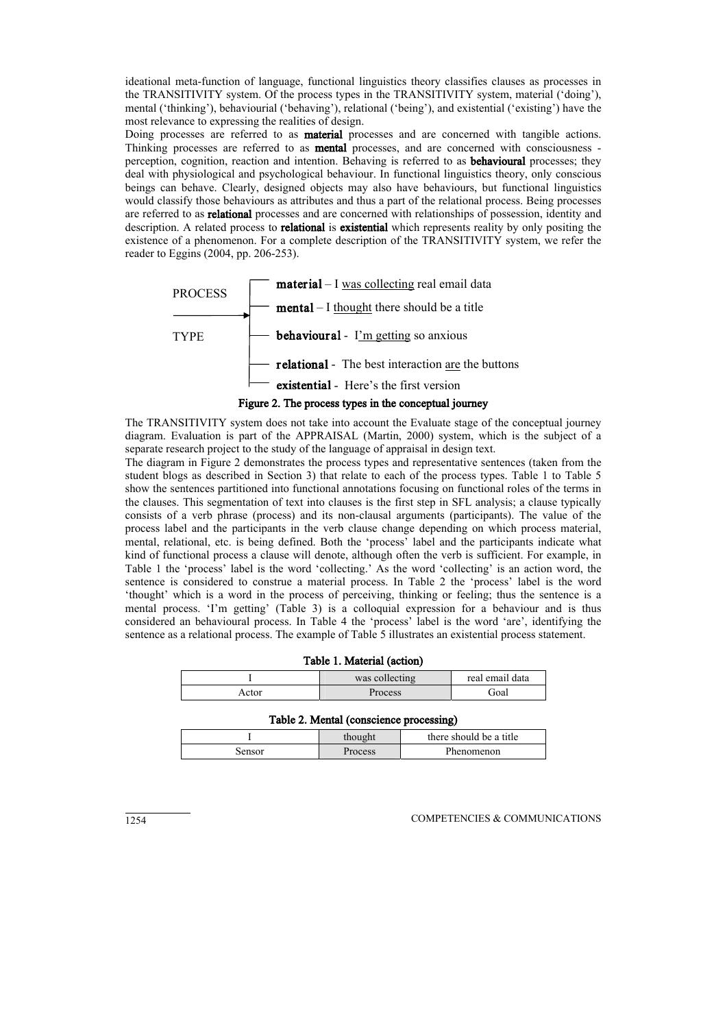ideational meta-function of language, functional linguistics theory classifies clauses as processes in the TRANSITIVITY system. Of the process types in the TRANSITIVITY system, material ('doing'), mental ('thinking'), behaviourial ('behaving'), relational ('being'), and existential ('existing') have the most relevance to expressing the realities of design.

Doing processes are referred to as material processes and are concerned with tangible actions. Thinking processes are referred to as mental processes, and are concerned with consciousness perception, cognition, reaction and intention. Behaving is referred to as behavioural processes; they deal with physiological and psychological behaviour. In functional linguistics theory, only conscious beings can behave. Clearly, designed objects may also have behaviours, but functional linguistics would classify those behaviours as attributes and thus a part of the relational process. Being processes are referred to as relational processes and are concerned with relationships of possession, identity and description. A related process to **relational** is **existential** which represents reality by only positing the existence of a phenomenon. For a complete description of the TRANSITIVITY system, we refer the reader to Eggins (2004, pp. 206-253).



## Figure 2. The process types in the conceptual journey

The TRANSITIVITY system does not take into account the Evaluate stage of the conceptual journey diagram. Evaluation is part of the APPRAISAL (Martin, 2000) system, which is the subject of a separate research project to the study of the language of appraisal in design text.

The diagram in Figure 2 demonstrates the process types and representative sentences (taken from the student blogs as described in Section 3) that relate to each of the process types. Table 1 to Table 5 show the sentences partitioned into functional annotations focusing on functional roles of the terms in the clauses. This segmentation of text into clauses is the first step in SFL analysis; a clause typically consists of a verb phrase (process) and its non-clausal arguments (participants). The value of the process label and the participants in the verb clause change depending on which process material, mental, relational, etc. is being defined. Both the 'process' label and the participants indicate what kind of functional process a clause will denote, although often the verb is sufficient. For example, in Table 1 the 'process' label is the word 'collecting.' As the word 'collecting' is an action word, the sentence is considered to construe a material process. In Table 2 the 'process' label is the word 'thought' which is a word in the process of perceiving, thinking or feeling; thus the sentence is a mental process. 'I'm getting' (Table 3) is a colloquial expression for a behaviour and is thus considered an behavioural process. In Table 4 the 'process' label is the word 'are', identifying the sentence as a relational process. The example of Table 5 illustrates an existential process statement.

| Table 1. Material (action)        |         |      |  |  |
|-----------------------------------|---------|------|--|--|
| was collecting<br>real email data |         |      |  |  |
| Actor                             | Process | Goal |  |  |

#### Table 2. Mental (conscience processing)

|        | thought | there should be a title |
|--------|---------|-------------------------|
| Sensor | Process | Phenomenon              |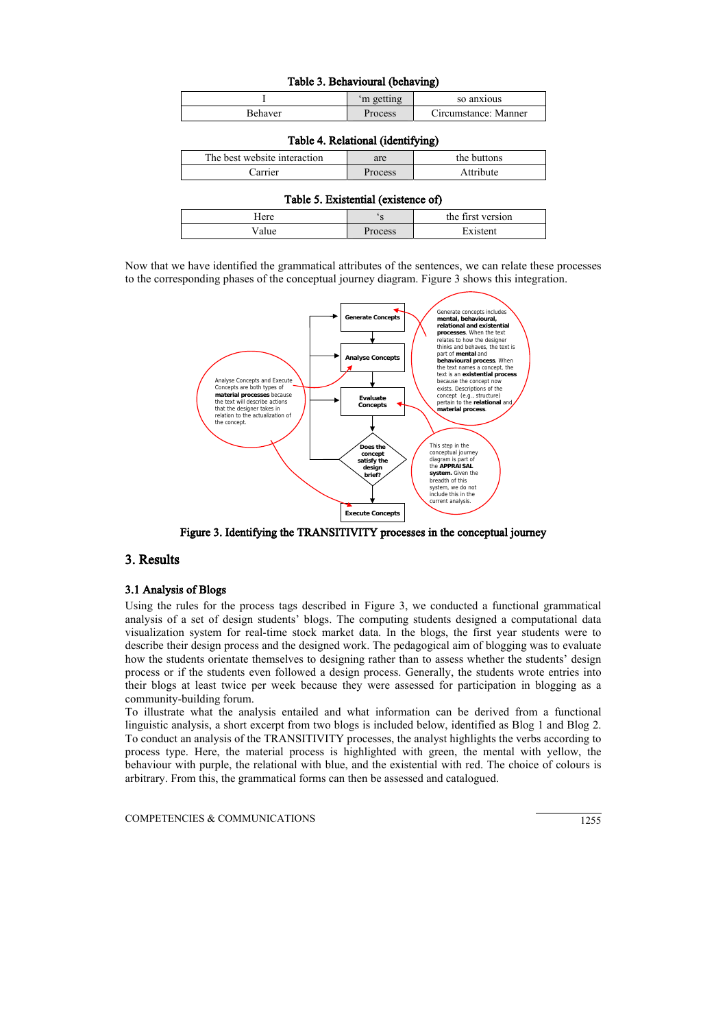| Table 3. Behavioural (behaving) |         |                      |  |  |
|---------------------------------|---------|----------------------|--|--|
| 'm getting<br>so anxious        |         |                      |  |  |
| Behaver                         | Process | Circumstance: Manner |  |  |

| Table 4. Relational (identifying)                  |         |           |  |  |
|----------------------------------------------------|---------|-----------|--|--|
| The best website interaction<br>the buttons<br>are |         |           |  |  |
| Carrier                                            | Process | Attribute |  |  |

| Table 5. Existential (existence of) |  |
|-------------------------------------|--|
|-------------------------------------|--|

| Here              |         | the first version |
|-------------------|---------|-------------------|
| <sup>7</sup> alue | Process | Existent          |

Now that we have identified the grammatical attributes of the sentences, we can relate these processes to the corresponding phases of the conceptual journey diagram. Figure 3 shows this integration.



Figure 3. Identifying the TRANSITIVITY processes in the conceptual journey

## 3. Results

### 3.1 Analysis of Blogs

Using the rules for the process tags described in Figure 3, we conducted a functional grammatical analysis of a set of design students' blogs. The computing students designed a computational data visualization system for real-time stock market data. In the blogs, the first year students were to describe their design process and the designed work. The pedagogical aim of blogging was to evaluate how the students orientate themselves to designing rather than to assess whether the students' design process or if the students even followed a design process. Generally, the students wrote entries into their blogs at least twice per week because they were assessed for participation in blogging as a community-building forum.

To illustrate what the analysis entailed and what information can be derived from a functional linguistic analysis, a short excerpt from two blogs is included below, identified as Blog 1 and Blog 2. To conduct an analysis of the TRANSITIVITY processes, the analyst highlights the verbs according to process type. Here, the material process is highlighted with green, the mental with yellow, the behaviour with purple, the relational with blue, and the existential with red. The choice of colours is arbitrary. From this, the grammatical forms can then be assessed and catalogued.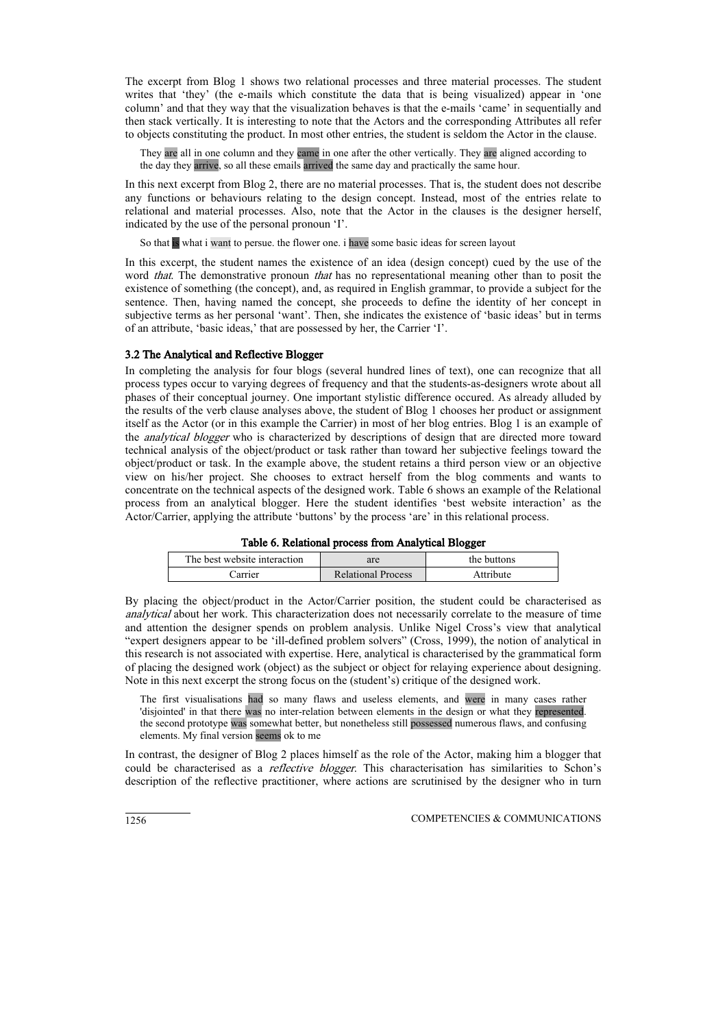The excerpt from Blog 1 shows two relational processes and three material processes. The student writes that 'they' (the e-mails which constitute the data that is being visualized) appear in 'one column' and that they way that the visualization behaves is that the e-mails 'came' in sequentially and then stack vertically. It is interesting to note that the Actors and the corresponding Attributes all refer to objects constituting the product. In most other entries, the student is seldom the Actor in the clause.

They are all in one column and they came in one after the other vertically. They are aligned according to the day they arrive, so all these emails arrived the same day and practically the same hour.

In this next excerpt from Blog 2, there are no material processes. That is, the student does not describe any functions or behaviours relating to the design concept. Instead, most of the entries relate to relational and material processes. Also, note that the Actor in the clauses is the designer herself, indicated by the use of the personal pronoun 'I'.

So that is what i want to persue, the flower one, i have some basic ideas for screen layout

In this excerpt, the student names the existence of an idea (design concept) cued by the use of the word *that*. The demonstrative pronoun *that* has no representational meaning other than to posit the existence of something (the concept), and, as required in English grammar, to provide a subject for the sentence. Then, having named the concept, she proceeds to define the identity of her concept in subjective terms as her personal 'want'. Then, she indicates the existence of 'basic ideas' but in terms of an attribute, 'basic ideas,' that are possessed by her, the Carrier 'I'.

### 3.2 The Analytical and Reflective Blogger

In completing the analysis for four blogs (several hundred lines of text), one can recognize that all process types occur to varying degrees of frequency and that the students-as-designers wrote about all phases of their conceptual journey. One important stylistic difference occured. As already alluded by the results of the verb clause analyses above, the student of Blog 1 chooses her product or assignment itself as the Actor (or in this example the Carrier) in most of her blog entries. Blog 1 is an example of the *analytical blogger* who is characterized by descriptions of design that are directed more toward technical analysis of the object/product or task rather than toward her subjective feelings toward the object/product or task. In the example above, the student retains a third person view or an objective view on his/her project. She chooses to extract herself from the blog comments and wants to concentrate on the technical aspects of the designed work. Table 6 shows an example of the Relational process from an analytical blogger. Here the student identifies 'best website interaction' as the Actor/Carrier, applying the attribute 'buttons' by the process 'are' in this relational process.

|  | Table 6. Relational process from Analytical Blogger |  |  |  |
|--|-----------------------------------------------------|--|--|--|
|  |                                                     |  |  |  |

| The best website interaction | are                       | the buttons |
|------------------------------|---------------------------|-------------|
| Carrier                      | <b>Relational Process</b> | Attribute   |

By placing the object/product in the Actor/Carrier position, the student could be characterised as analytical about her work. This characterization does not necessarily correlate to the measure of time and attention the designer spends on problem analysis. Unlike Nigel Cross's view that analytical "expert designers appear to be 'ill-defined problem solvers" (Cross, 1999), the notion of analytical in this research is not associated with expertise. Here, analytical is characterised by the grammatical form of placing the designed work (object) as the subject or object for relaying experience about designing. Note in this next excerpt the strong focus on the (student's) critique of the designed work.

The first visualisations had so many flaws and useless elements, and were in many cases rather 'disjointed' in that there was no inter-relation between elements in the design or what they represented. the second prototype was somewhat better, but nonetheless still possessed numerous flaws, and confusing elements. My final version seems ok to me

In contrast, the designer of Blog 2 places himself as the role of the Actor, making him a blogger that could be characterised as a *reflective blogger*. This characterisation has similarities to Schon's description of the reflective practitioner, where actions are scrutinised by the designer who in turn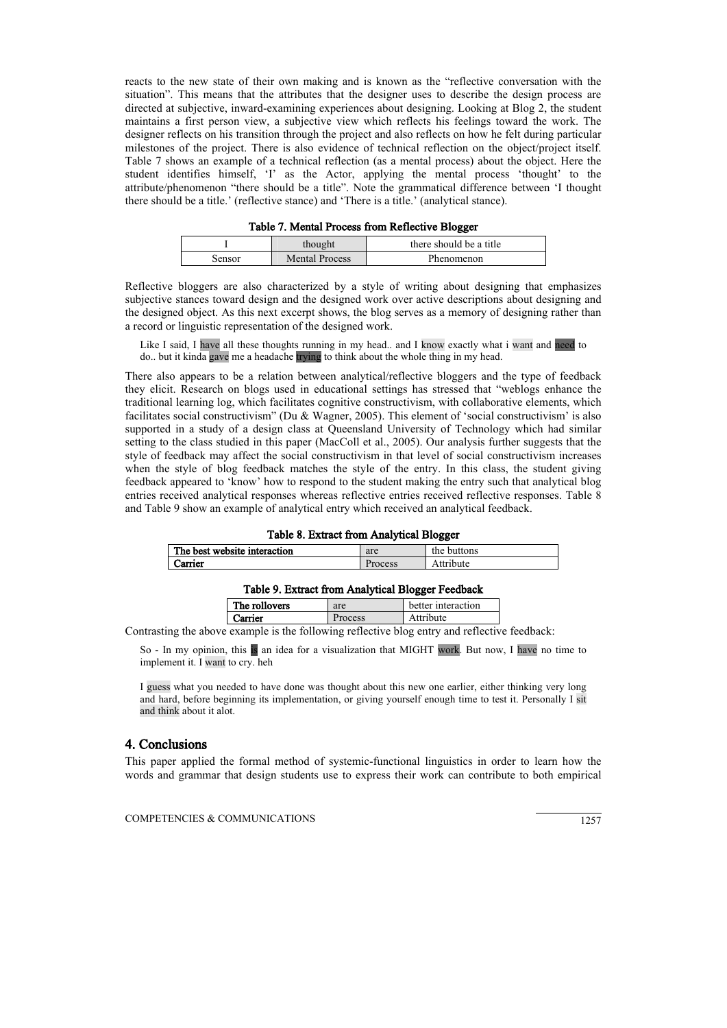reacts to the new state of their own making and is known as the "reflective conversation with the situation". This means that the attributes that the designer uses to describe the design process are directed at subjective, inward-examining experiences about designing. Looking at Blog 2, the student maintains a first person view, a subjective view which reflects his feelings toward the work. The designer reflects on his transition through the project and also reflects on how he felt during particular milestones of the project. There is also evidence of technical reflection on the object/project itself. Table 7 shows an example of a technical reflection (as a mental process) about the object. Here the student identifies himself, 'I' as the Actor, applying the mental process 'thought' to the attribute/phenomenon "there should be a title". Note the grammatical difference between 'I thought there should be a title.' (reflective stance) and 'There is a title.' (analytical stance).

| Table 7. Mental Process from Reflective Blogger |  |
|-------------------------------------------------|--|
|-------------------------------------------------|--|

|        | thought               | there should be a title |
|--------|-----------------------|-------------------------|
| Sensor | <b>Mental Process</b> | Phenomenon              |

Reflective bloggers are also characterized by a style of writing about designing that emphasizes subjective stances toward design and the designed work over active descriptions about designing and the designed object. As this next excerpt shows, the blog serves as a memory of designing rather than a record or linguistic representation of the designed work.

Like I said, I have all these thoughts running in my head.. and I know exactly what i want and need to do.. but it kinda gave me a headache trying to think about the whole thing in my head.

There also appears to be a relation between analytical/reflective bloggers and the type of feedback they elicit. Research on blogs used in educational settings has stressed that "weblogs enhance the traditional learning log, which facilitates cognitive constructivism, with collaborative elements, which facilitates social constructivism" (Du & Wagner, 2005). This element of 'social constructivism' is also supported in a study of a design class at Queensland University of Technology which had similar setting to the class studied in this paper (MacColl et al., 2005). Our analysis further suggests that the style of feedback may affect the social constructivism in that level of social constructivism increases when the style of blog feedback matches the style of the entry. In this class, the student giving feedback appeared to 'know' how to respond to the student making the entry such that analytical blog entries received analytical responses whereas reflective entries received reflective responses. Table 8 and Table 9 show an example of analytical entry which received an analytical feedback.

| Table 8. Extract from Analytical Blogger           |         |           |  |  |  |
|----------------------------------------------------|---------|-----------|--|--|--|
| The best website interaction<br>the buttons<br>are |         |           |  |  |  |
| Carrier                                            | Process | Attribute |  |  |  |

#### Table 9. Extract from Analytical Blogger Feedback

|        | The rollovers | are | better interaction |
|--------|---------------|-----|--------------------|
| ırrier |               | ess | <i>ribute</i>      |

Contrasting the above example is the following reflective blog entry and reflective feedback:

So - In my opinion, this is an idea for a visualization that MIGHT work. But now, I have no time to implement it. I want to cry. heh

I guess what you needed to have done was thought about this new one earlier, either thinking very long and hard, before beginning its implementation, or giving yourself enough time to test it. Personally I sit and think about it alot.

### 4. Conclusions

This paper applied the formal method of systemic-functional linguistics in order to learn how the words and grammar that design students use to express their work can contribute to both empirical